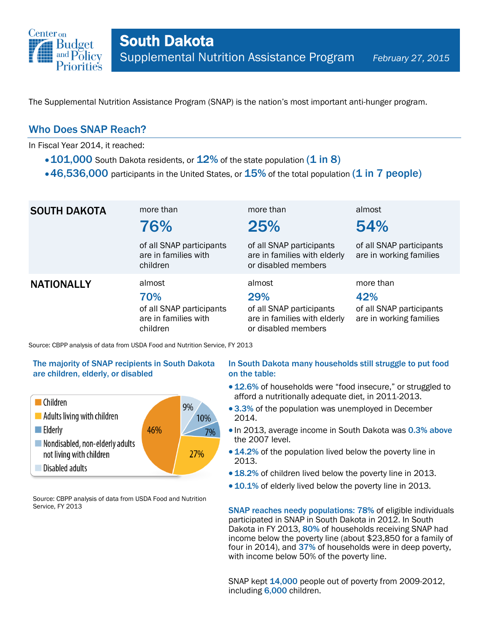

The Supplemental Nutrition Assistance Program (SNAP) is the nation's most important anti-hunger program.

### Who Does SNAP Reach?

In Fiscal Year 2014, it reached:

- $\cdot$  101,000 South Dakota residents, or 12% of the state population (1 in 8)
- $\cdot$  46,536,000 participants in the United States, or  $15\%$  of the total population (1 in 7 people)

| <b>SOUTH DAKOTA</b>                                                         | more than<br>76%                                                              | more than<br>25%                                                                                 | almost<br>54%                                                           |  |
|-----------------------------------------------------------------------------|-------------------------------------------------------------------------------|--------------------------------------------------------------------------------------------------|-------------------------------------------------------------------------|--|
|                                                                             | of all SNAP participants<br>are in families with<br>children                  | of all SNAP participants<br>are in families with elderly<br>or disabled members                  | of all SNAP participants<br>are in working families                     |  |
| <b>NATIONALLY</b>                                                           | almost<br>70%<br>of all SNAP participants<br>are in families with<br>children | almost<br>29%<br>of all SNAP participants<br>are in families with elderly<br>or disabled members | more than<br>42%<br>of all SNAP participants<br>are in working families |  |
| Source: CBPP analysis of data from USDA Food and Nutrition Service, FY 2013 |                                                                               |                                                                                                  |                                                                         |  |

# The majority of SNAP recipients in South Dakota

are children, elderly, or disabled



Source: CBPP analysis of data from USDA Food and Nutrition Service, FY 2013

#### In South Dakota many households still struggle to put food on the table:

- 12.6% of households were "food insecure," or struggled to afford a nutritionally adequate diet, in 2011-2013.
- 3.3% of the population was unemployed in December 2014.
- In 2013, average income in South Dakota was 0.3% above the 2007 level.
- 14.2% of the population lived below the poverty line in 2013.
- 18.2% of children lived below the poverty line in 2013.
- 10.1% of elderly lived below the poverty line in 2013.

SNAP reaches needy populations: 78% of eligible individuals participated in SNAP in South Dakota in 2012. In South Dakota in FY 2013, 80% of households receiving SNAP had income below the poverty line (about \$23,850 for a family of four in 2014), and 37% of households were in deep poverty, with income below 50% of the poverty line.

SNAP kept 14,000 people out of poverty from 2009-2012, including 6,000 children.